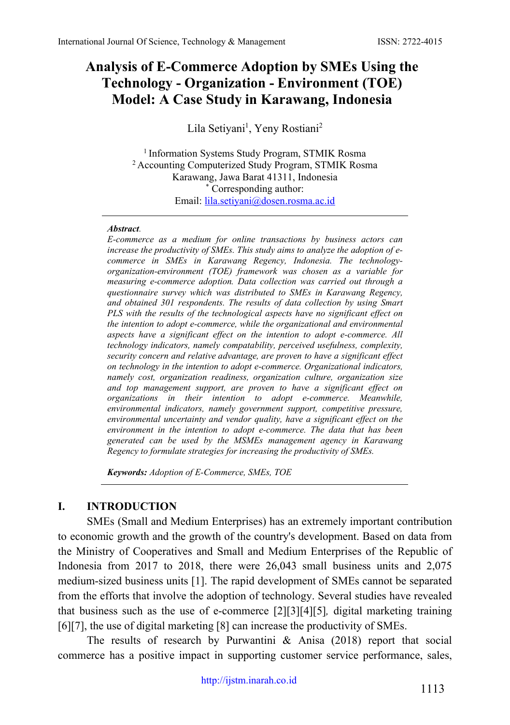# **Analysis of E-Commerce Adoption by SMEs Using the Technology - Organization - Environment (TOE) Model: A Case Study in Karawang, Indonesia**

Lila Setiyani<sup>1</sup>, Yeny Rostiani<sup>2</sup>

<sup>1</sup> Information Systems Study Program, STMIK Rosma <sup>2</sup> Accounting Computerized Study Program, STMIK Rosma Karawang, Jawa Barat 41311, Indonesia \* Corresponding author: Email: [lila.setiyani@dosen.rosma.ac.id](mailto:lila.setiyani@dosen.rosma.ac.id)

#### *Abstract.*

*E-commerce as a medium for online transactions by business actors can increase the productivity of SMEs. This study aims to analyze the adoption of ecommerce in SMEs in Karawang Regency, Indonesia. The technologyorganization-environment (TOE) framework was chosen as a variable for measuring e-commerce adoption. Data collection was carried out through a questionnaire survey which was distributed to SMEs in Karawang Regency, and obtained 301 respondents. The results of data collection by using Smart PLS with the results of the technological aspects have no significant effect on the intention to adopt e-commerce, while the organizational and environmental aspects have a significant effect on the intention to adopt e-commerce. All technology indicators, namely compatability, perceived usefulness, complexity, security concern and relative advantage, are proven to have a significant effect on technology in the intention to adopt e-commerce. Organizational indicators, namely cost, organization readiness, organization culture, organization size and top management support, are proven to have a significant effect on organizations in their intention to adopt e-commerce. Meanwhile, environmental indicators, namely government support, competitive pressure, environmental uncertainty and vendor quality, have a significant effect on the environment in the intention to adopt e-commerce. The data that has been generated can be used by the MSMEs management agency in Karawang Regency to formulate strategies for increasing the productivity of SMEs.*

*Keywords: Adoption of E-Commerce, SMEs, TOE*

### **I. INTRODUCTION**

SMEs (Small and Medium Enterprises) has an extremely important contribution to economic growth and the growth of the country's development. Based on data from the Ministry of Cooperatives and Small and Medium Enterprises of the Republic of Indonesia from 2017 to 2018, there were 26,043 small business units and 2,075 medium-sized business units [1]. The rapid development of SMEs cannot be separated from the efforts that involve the adoption of technology. Several studies have revealed that business such as the use of e-commerce [2][3][4][5]*,* digital marketing training [6][7], the use of digital marketing [8] can increase the productivity of SMEs.

The results of research by Purwantini  $\&$  Anisa (2018) report that social commerce has a positive impact in supporting customer service performance, sales,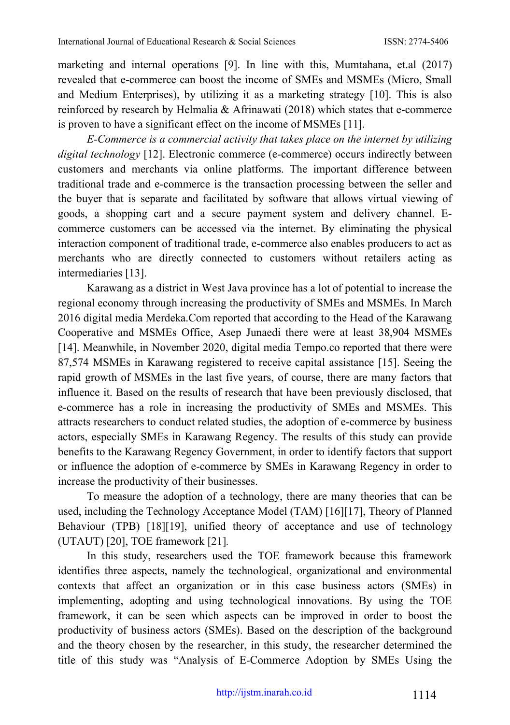marketing and internal operations [9]. In line with this, Mumtahana, et.al (2017) revealed that e-commerce can boost the income of SMEs and MSMEs (Micro, Small and Medium Enterprises), by utilizing it as a marketing strategy [10]. This is also reinforced by research by Helmalia & Afrinawati (2018) which states that e-commerce is proven to have a significant effect on the income of MSMEs [11].

*E-Commerce is a commercial activity that takes place on the internet by utilizing digital technology* [12]. Electronic commerce (e-commerce) occurs indirectly between customers and merchants via online platforms. The important difference between traditional trade and e-commerce is the transaction processing between the seller and the buyer that is separate and facilitated by software that allows virtual viewing of goods, a shopping cart and a secure payment system and delivery channel. Ecommerce customers can be accessed via the internet. By eliminating the physical interaction component of traditional trade, e-commerce also enables producers to act as merchants who are directly connected to customers without retailers acting as intermediaries [13].

Karawang as a district in West Java province has a lot of potential to increase the regional economy through increasing the productivity of SMEs and MSMEs. In March 2016 digital media Merdeka.Com reported that according to the Head of the Karawang Cooperative and MSMEs Office, Asep Junaedi there were at least 38,904 MSMEs [14]. Meanwhile, in November 2020, digital media Tempo.co reported that there were 87,574 MSMEs in Karawang registered to receive capital assistance [15]. Seeing the rapid growth of MSMEs in the last five years, of course, there are many factors that influence it. Based on the results of research that have been previously disclosed, that e-commerce has a role in increasing the productivity of SMEs and MSMEs. This attracts researchers to conduct related studies, the adoption of e-commerce by business actors, especially SMEs in Karawang Regency. The results of this study can provide benefits to the Karawang Regency Government, in order to identify factors that support or influence the adoption of e-commerce by SMEs in Karawang Regency in order to increase the productivity of their businesses.

To measure the adoption of a technology, there are many theories that can be used, including the Technology Acceptance Model (TAM) [16][17], Theory of Planned Behaviour (TPB) [18][19], unified theory of acceptance and use of technology (UTAUT) [20], TOE framework [21]*.*

In this study, researchers used the TOE framework because this framework identifies three aspects, namely the technological, organizational and environmental contexts that affect an organization or in this case business actors (SMEs) in implementing, adopting and using technological innovations. By using the TOE framework, it can be seen which aspects can be improved in order to boost the productivity of business actors (SMEs). Based on the description of the background and the theory chosen by the researcher, in this study, the researcher determined the title of this study was "Analysis of E-Commerce Adoption by SMEs Using the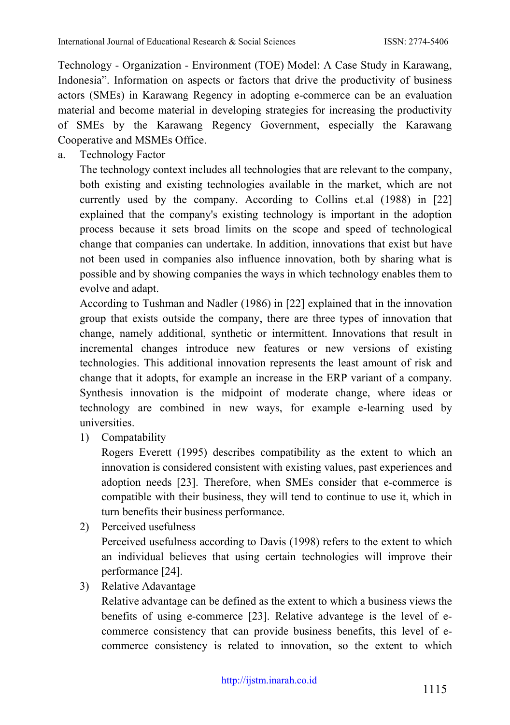Technology - Organization - Environment (TOE) Model: A Case Study in Karawang, Indonesia". Information on aspects or factors that drive the productivity of business actors (SMEs) in Karawang Regency in adopting e-commerce can be an evaluation material and become material in developing strategies for increasing the productivity of SMEs by the Karawang Regency Government, especially the Karawang Cooperative and MSMEs Office.

a. Technology Factor

The technology context includes all technologies that are relevant to the company, both existing and existing technologies available in the market, which are not currently used by the company. According to Collins et.al (1988) in [22] explained that the company's existing technology is important in the adoption process because it sets broad limits on the scope and speed of technological change that companies can undertake. In addition, innovations that exist but have not been used in companies also influence innovation, both by sharing what is possible and by showing companies the ways in which technology enables them to evolve and adapt.

According to Tushman and Nadler (1986) in [22] explained that in the innovation group that exists outside the company, there are three types of innovation that change, namely additional, synthetic or intermittent. Innovations that result in incremental changes introduce new features or new versions of existing technologies. This additional innovation represents the least amount of risk and change that it adopts, for example an increase in the ERP variant of a company. Synthesis innovation is the midpoint of moderate change, where ideas or technology are combined in new ways, for example e-learning used by universities.

1) Compatability

Rogers Everett (1995) describes compatibility as the extent to which an innovation is considered consistent with existing values, past experiences and adoption needs [23]. Therefore, when SMEs consider that e-commerce is compatible with their business, they will tend to continue to use it, which in turn benefits their business performance.

2) Perceived usefulness

Perceived usefulness according to Davis (1998) refers to the extent to which an individual believes that using certain technologies will improve their performance [24].

3) Relative Adavantage

Relative advantage can be defined as the extent to which a business views the benefits of using e-commerce [23]. Relative advantege is the level of ecommerce consistency that can provide business benefits, this level of ecommerce consistency is related to innovation, so the extent to which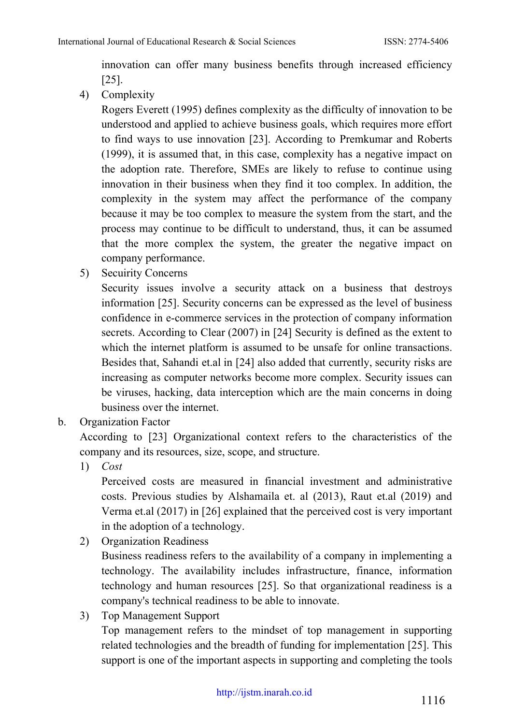innovation can offer many business benefits through increased efficiency [25].

4) Complexity

Rogers Everett (1995) defines complexity as the difficulty of innovation to be understood and applied to achieve business goals, which requires more effort to find ways to use innovation [23]. According to Premkumar and Roberts (1999), it is assumed that, in this case, complexity has a negative impact on the adoption rate. Therefore, SMEs are likely to refuse to continue using innovation in their business when they find it too complex. In addition, the complexity in the system may affect the performance of the company because it may be too complex to measure the system from the start, and the process may continue to be difficult to understand, thus, it can be assumed that the more complex the system, the greater the negative impact on company performance.

5) Secuirity Concerns

Security issues involve a security attack on a business that destroys information [25]. Security concerns can be expressed as the level of business confidence in e-commerce services in the protection of company information secrets. According to Clear (2007) in [24] Security is defined as the extent to which the internet platform is assumed to be unsafe for online transactions. Besides that, Sahandi et.al in [24] also added that currently, security risks are increasing as computer networks become more complex. Security issues can be viruses, hacking, data interception which are the main concerns in doing business over the internet.

b. Organization Factor

According to [23] Organizational context refers to the characteristics of the company and its resources, size, scope, and structure.

1) *Cost*

Perceived costs are measured in financial investment and administrative costs. Previous studies by Alshamaila et. al (2013), Raut et.al (2019) and Verma et.al (2017) in [26] explained that the perceived cost is very important in the adoption of a technology.

2) Organization Readiness

Business readiness refers to the availability of a company in implementing a technology. The availability includes infrastructure, finance, information technology and human resources [25]. So that organizational readiness is a company's technical readiness to be able to innovate.

3) Top Management Support

Top management refers to the mindset of top management in supporting related technologies and the breadth of funding for implementation [25]. This support is one of the important aspects in supporting and completing the tools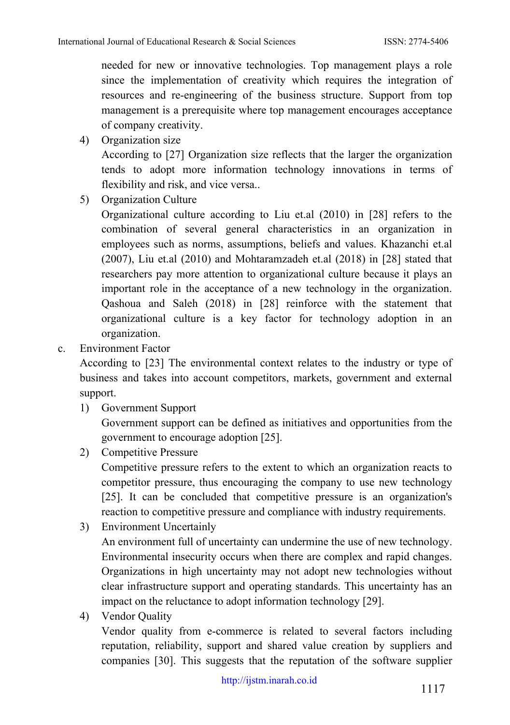needed for new or innovative technologies. Top management plays a role since the implementation of creativity which requires the integration of resources and re-engineering of the business structure. Support from top management is a prerequisite where top management encourages acceptance of company creativity.

4) Organization size

According to [27] Organization size reflects that the larger the organization tends to adopt more information technology innovations in terms of flexibility and risk, and vice versa..

5) Organization Culture

Organizational culture according to Liu et.al (2010) in [28] refers to the combination of several general characteristics in an organization in employees such as norms, assumptions, beliefs and values. Khazanchi et.al (2007), Liu et.al (2010) and Mohtaramzadeh et.al (2018) in [28] stated that researchers pay more attention to organizational culture because it plays an important role in the acceptance of a new technology in the organization. Qashoua and Saleh (2018) in [28] reinforce with the statement that organizational culture is a key factor for technology adoption in an organization.

c. Environment Factor

According to [23] The environmental context relates to the industry or type of business and takes into account competitors, markets, government and external support.

1) Government Support

Government support can be defined as initiatives and opportunities from the government to encourage adoption [25].

2) Competitive Pressure

Competitive pressure refers to the extent to which an organization reacts to competitor pressure, thus encouraging the company to use new technology [25]. It can be concluded that competitive pressure is an organization's reaction to competitive pressure and compliance with industry requirements.

3) Environment Uncertainly

An environment full of uncertainty can undermine the use of new technology. Environmental insecurity occurs when there are complex and rapid changes. Organizations in high uncertainty may not adopt new technologies without clear infrastructure support and operating standards. This uncertainty has an impact on the reluctance to adopt information technology [29].

4) Vendor Quality

Vendor quality from e-commerce is related to several factors including reputation, reliability, support and shared value creation by suppliers and companies [30]. This suggests that the reputation of the software supplier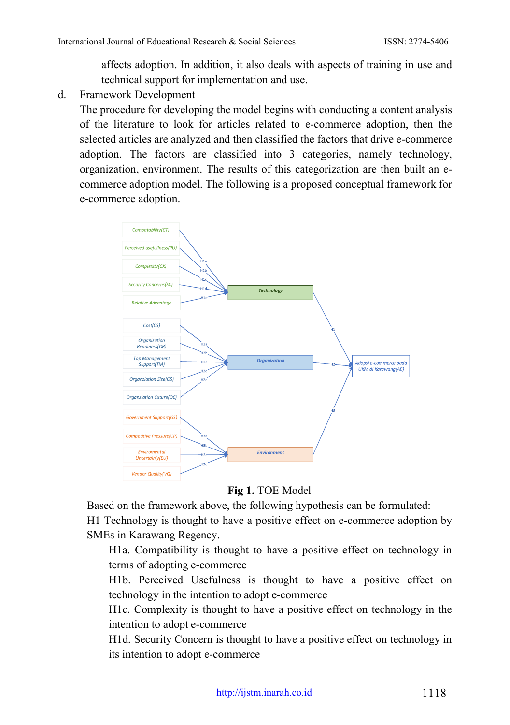affects adoption. In addition, it also deals with aspects of training in use and technical support for implementation and use.

d. Framework Development

The procedure for developing the model begins with conducting a content analysis of the literature to look for articles related to e-commerce adoption, then the selected articles are analyzed and then classified the factors that drive e-commerce adoption. The factors are classified into 3 categories, namely technology, organization, environment. The results of this categorization are then built an ecommerce adoption model. The following is a proposed conceptual framework for e-commerce adoption.



**Fig 1.** TOE Model

Based on the framework above, the following hypothesis can be formulated: H1 Technology is thought to have a positive effect on e-commerce adoption by SMEs in Karawang Regency.

H1a. Compatibility is thought to have a positive effect on technology in terms of adopting e-commerce

H1b. Perceived Usefulness is thought to have a positive effect on technology in the intention to adopt e-commerce

H1c. Complexity is thought to have a positive effect on technology in the intention to adopt e-commerce

H1d. Security Concern is thought to have a positive effect on technology in its intention to adopt e-commerce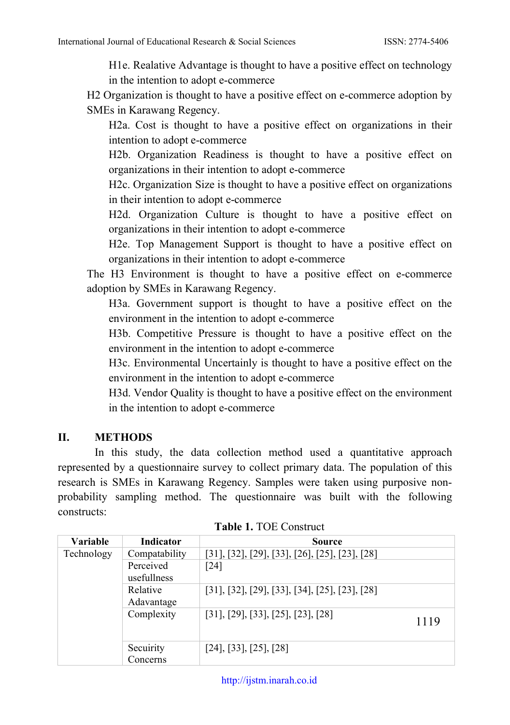H1e. Realative Advantage is thought to have a positive effect on technology in the intention to adopt e-commerce

H2 Organization is thought to have a positive effect on e-commerce adoption by SMEs in Karawang Regency.

H2a. Cost is thought to have a positive effect on organizations in their intention to adopt e-commerce

H2b. Organization Readiness is thought to have a positive effect on organizations in their intention to adopt e-commerce

H2c. Organization Size is thought to have a positive effect on organizations in their intention to adopt e-commerce

H2d. Organization Culture is thought to have a positive effect on organizations in their intention to adopt e-commerce

H2e. Top Management Support is thought to have a positive effect on organizations in their intention to adopt e-commerce

The H3 Environment is thought to have a positive effect on e-commerce adoption by SMEs in Karawang Regency.

H3a. Government support is thought to have a positive effect on the environment in the intention to adopt e-commerce

H3b. Competitive Pressure is thought to have a positive effect on the environment in the intention to adopt e-commerce

H3c. Environmental Uncertainly is thought to have a positive effect on the environment in the intention to adopt e-commerce

H3d. Vendor Quality is thought to have a positive effect on the environment in the intention to adopt e-commerce

### **II. METHODS**

In this study, the data collection method used a quantitative approach represented by a questionnaire survey to collect primary data. The population of this research is SMEs in Karawang Regency. Samples were taken using purposive nonprobability sampling method. The questionnaire was built with the following constructs:

| <b>Variable</b> | Indicator                | Source                                                                |      |
|-----------------|--------------------------|-----------------------------------------------------------------------|------|
| Technology      | Compatability            | $[31], [32], [29], [33], [26], [25], [23], [28]$                      |      |
|                 | Perceived<br>usefullness | $\lceil 24 \rceil$                                                    |      |
|                 | Relative<br>Adavantage   | $[31]$ , $[32]$ , $[29]$ , $[33]$ , $[34]$ , $[25]$ , $[23]$ , $[28]$ |      |
|                 | Complexity               | $[31]$ , $[29]$ , $[33]$ , $[25]$ , $[23]$ , $[28]$                   | 1119 |
|                 | Secuirity<br>Concerns    | $[24]$ , [33], [25], [28]                                             |      |

**Table 1.** TOE Construct

[http://ijstm.inarah.co.id](http://ijstm.inarah.co.id/index.php/ijstm/about/submissions)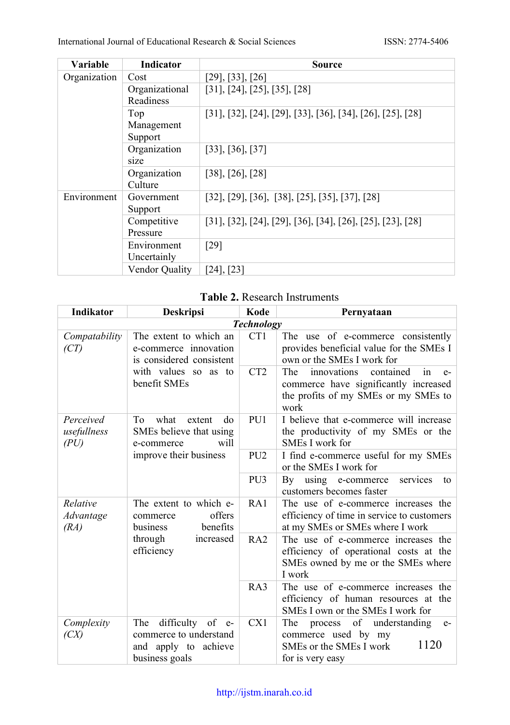| Variable     | Indicator      | Source                                                       |
|--------------|----------------|--------------------------------------------------------------|
| Organization | Cost           | [29], [33], [26]                                             |
|              | Organizational | [31], [24], [25], [35], [28]                                 |
|              | Readiness      |                                                              |
|              | Top            | [31], [32], [24], [29], [33], [36], [34], [26], [25], [28]   |
|              | Management     |                                                              |
|              | Support        |                                                              |
|              | Organization   | $[33]$ , $[36]$ , $[37]$                                     |
|              | size           |                                                              |
|              | Organization   | $[38]$ , $[26]$ , $[28]$                                     |
|              | Culture        |                                                              |
| Environment  | Government     | $[32], [29], [36], [38], [25], [35], [37], [28]$             |
|              | Support        |                                                              |
|              | Competitive    | $[31], [32], [24], [29], [36], [34], [26], [25], [23], [28]$ |
|              | Pressure       |                                                              |
|              | Environment    | $[29]$                                                       |
|              | Uncertainly    |                                                              |
|              | Vendor Quality | [24], [23]                                                   |

### **Table 2.** Research Instruments

| Indikator                                                                                                                                   | <b>Deskripsi</b>                                                                            | Kode                                                                                                                          | Pernyataan                                                                                                                             |
|---------------------------------------------------------------------------------------------------------------------------------------------|---------------------------------------------------------------------------------------------|-------------------------------------------------------------------------------------------------------------------------------|----------------------------------------------------------------------------------------------------------------------------------------|
|                                                                                                                                             |                                                                                             | <b>Technology</b>                                                                                                             |                                                                                                                                        |
| Compatability<br>(CT)                                                                                                                       | The extent to which an<br>e-commerce innovation<br>is considered consistent                 |                                                                                                                               | The use of e-commerce consistently<br>provides beneficial value for the SMEs I<br>own or the SMEs I work for                           |
|                                                                                                                                             | with values so as to<br>benefit SMEs                                                        | CT <sub>2</sub>                                                                                                               | contained<br>The<br>innovations<br>in<br>$e-$<br>commerce have significantly increased<br>the profits of my SMEs or my SMEs to<br>work |
| Perceived<br>usefullness<br>(PU)                                                                                                            | what<br>To<br>extent<br>do<br>SMEs believe that using<br>will<br>e-commerce                 | PU1                                                                                                                           | I believe that e-commerce will increase<br>the productivity of my SMEs or the<br>SMEs I work for                                       |
|                                                                                                                                             | improve their business                                                                      | PU <sub>2</sub>                                                                                                               | I find e-commerce useful for my SMEs<br>or the SMEs I work for                                                                         |
|                                                                                                                                             |                                                                                             | PU <sub>3</sub>                                                                                                               | using e-commerce<br>By<br>services<br>to<br>customers becomes faster                                                                   |
| The extent to which e-<br>Relative<br>offers<br>Advantage<br>commerce<br>benefits<br>(RA)<br>business<br>through<br>increased<br>efficiency |                                                                                             | RA1                                                                                                                           | The use of e-commerce increases the<br>efficiency of time in service to customers<br>at my SMEs or SMEs where I work                   |
|                                                                                                                                             | RA2                                                                                         | The use of e-commerce increases the<br>efficiency of operational costs at the<br>SMEs owned by me or the SMEs where<br>I work |                                                                                                                                        |
|                                                                                                                                             |                                                                                             | RA3                                                                                                                           | The use of e-commerce increases the<br>efficiency of human resources at the<br>SMEs I own or the SMEs I work for                       |
| Complexity<br>(CX)                                                                                                                          | difficulty of e-<br>The<br>commerce to understand<br>and apply to achieve<br>business goals | CX1                                                                                                                           | The process of understanding<br>$e-$<br>commerce used by my<br>1120<br>SMEs or the SMEs I work<br>for is very easy                     |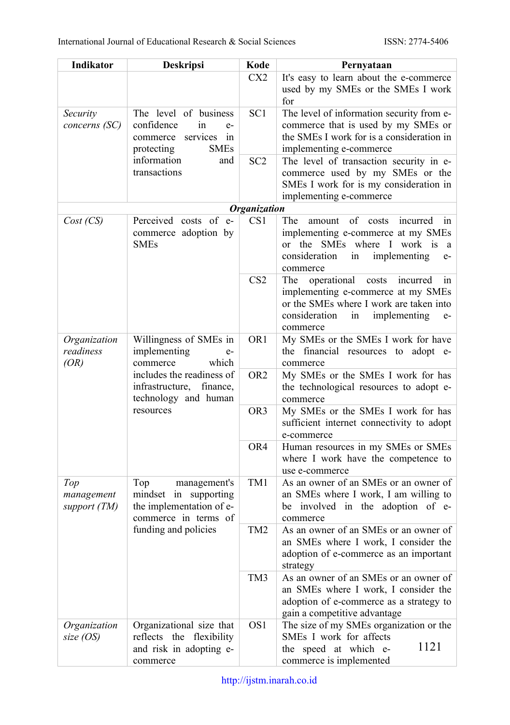| Indikator                         | Deskripsi                                                                                                    | Kode                | Pernyataan                                                                                                                                                                              |
|-----------------------------------|--------------------------------------------------------------------------------------------------------------|---------------------|-----------------------------------------------------------------------------------------------------------------------------------------------------------------------------------------|
|                                   |                                                                                                              | CX <sub>2</sub>     | It's easy to learn about the e-commerce<br>used by my SMEs or the SMEs I work<br>for                                                                                                    |
| Security<br>concerns (SC)         | The level of business<br>confidence<br>in<br>$e-$<br>services<br>commerce<br>in<br><b>SMEs</b><br>protecting | SC <sub>1</sub>     | The level of information security from e-<br>commerce that is used by my SMEs or<br>the SMEs I work for is a consideration in<br>implementing e-commerce                                |
|                                   | information<br>and<br>transactions                                                                           | SC <sub>2</sub>     | The level of transaction security in e-<br>commerce used by my SMEs or the<br>SMEs I work for is my consideration in<br>implementing e-commerce                                         |
|                                   |                                                                                                              | <b>Organization</b> |                                                                                                                                                                                         |
| Cost (CS)                         | Perceived costs of e-                                                                                        | CS <sub>1</sub>     | of<br>incurred<br>The<br>amount<br>costs<br>in                                                                                                                                          |
|                                   | commerce adoption by<br><b>SMEs</b>                                                                          |                     | implementing e-commerce at my SMEs<br>or the SMEs where I work is<br>a<br>consideration<br>implementing<br>1n<br>$e-$<br>commerce                                                       |
|                                   |                                                                                                              | CS <sub>2</sub>     | operational<br>costs<br>The<br>incurred<br>in<br>implementing e-commerce at my SMEs<br>or the SMEs where I work are taken into<br>consideration<br>implementing<br>in<br>e-<br>commerce |
| Organization<br>readiness<br>(OR) | Willingness of SMEs in<br>implementing<br>$e-$<br>which<br>commerce                                          | OR <sub>1</sub>     | My SMEs or the SMEs I work for have<br>the financial resources to adopt e-<br>commerce                                                                                                  |
|                                   | includes the readiness of<br>infrastructure,<br>finance,<br>technology and human<br>resources                | OR <sub>2</sub>     | My SMEs or the SMEs I work for has<br>the technological resources to adopt e-<br>commerce                                                                                               |
|                                   |                                                                                                              | OR <sub>3</sub>     | My SMEs or the SMEs I work for has<br>sufficient internet connectivity to adopt<br>e-commerce                                                                                           |
|                                   |                                                                                                              | OR4                 | Human resources in my SMEs or SMEs<br>where I work have the competence to<br>use e-commerce                                                                                             |
| Top<br>management<br>support (TM) | management's<br>Top<br>mindset in supporting<br>the implementation of e-<br>commerce in terms of             | TM1                 | As an owner of an SMEs or an owner of<br>an SMEs where I work, I am willing to<br>be involved in the adoption of e-<br>commerce                                                         |
| funding and policies              |                                                                                                              | TM <sub>2</sub>     | As an owner of an SMEs or an owner of<br>an SMEs where I work, I consider the<br>adoption of e-commerce as an important<br>strategy                                                     |
|                                   |                                                                                                              | TM3                 | As an owner of an SMEs or an owner of<br>an SMEs where I work, I consider the<br>adoption of e-commerce as a strategy to<br>gain a competitive advantage                                |
| Organization<br>size $OS$         | Organizational size that<br>reflects the flexibility<br>and risk in adopting e-<br>commerce                  | OS <sub>1</sub>     | The size of my SMEs organization or the<br>SMEs I work for affects<br>1121<br>the speed at which e-<br>commerce is implemented                                                          |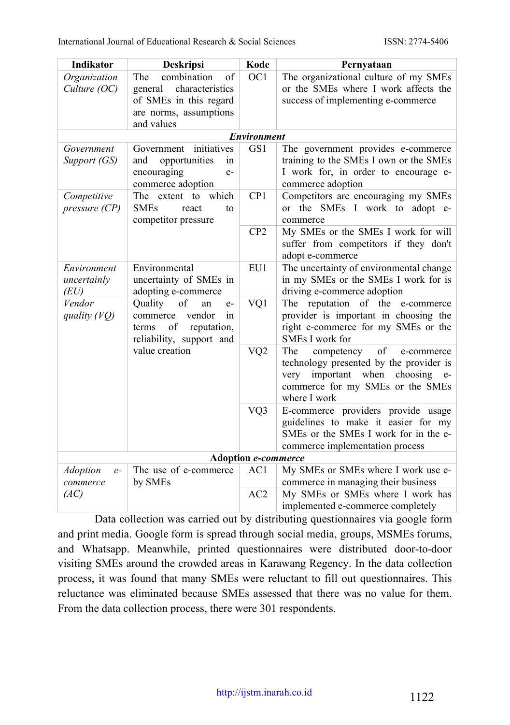| Indikator                           | <b>Deskripsi</b>                                                                                                         | Kode                | Pernyataan                                                                                                                                                                         |
|-------------------------------------|--------------------------------------------------------------------------------------------------------------------------|---------------------|------------------------------------------------------------------------------------------------------------------------------------------------------------------------------------|
| Organization<br>Culture (OC)        | combination<br>The<br>οf<br>characteristics<br>general<br>of SMEs in this regard<br>are norms, assumptions<br>and values | OC1                 | The organizational culture of my SMEs<br>or the SMEs where I work affects the<br>success of implementing e-commerce                                                                |
|                                     |                                                                                                                          | <b>Environment</b>  |                                                                                                                                                                                    |
| Government<br>Support (GS)          | initiatives<br>Government<br>opportunities<br>and<br>in<br>encouraging<br>$e-$<br>commerce adoption                      | GS1                 | The government provides e-commerce<br>training to the SMEs I own or the SMEs<br>I work for, in order to encourage e-<br>commerce adoption                                          |
| Competitive<br>pressure (CP)        | which<br>The extent to<br><b>SMEs</b><br>react<br>to<br>competitor pressure                                              | CP1                 | Competitors are encouraging my SMEs<br>or the SMEs I work to adopt e-<br>commerce                                                                                                  |
|                                     |                                                                                                                          | CP <sub>2</sub>     | My SMEs or the SMEs I work for will<br>suffer from competitors if they don't<br>adopt e-commerce                                                                                   |
| Environment<br>uncertainly<br>(EU)  | Environmental<br>uncertainty of SMEs in<br>adopting e-commerce                                                           | EU1                 | The uncertainty of environmental change<br>in my SMEs or the SMEs I work for is<br>driving e-commerce adoption                                                                     |
| Vendor<br>quality (VQ)              | Quality<br>of<br>an<br>$e-$<br>vendor<br>commerce<br>in<br>reputation,<br>of<br>terms<br>reliability, support and        | VQ1                 | The reputation of the<br>e-commerce<br>provider is important in choosing the<br>right e-commerce for my SMEs or the<br>SMEs I work for                                             |
|                                     | value creation                                                                                                           | $\rm VQ2$           | The<br>competency<br>of<br>e-commerce<br>technology presented by the provider is<br>important when<br>choosing<br>very<br>$e-$<br>commerce for my SMEs or the SMEs<br>where I work |
|                                     |                                                                                                                          | VQ3                 | E-commerce providers provide usage<br>guidelines to make it easier for my<br>SMEs or the SMEs I work for in the e-<br>commerce implementation process                              |
|                                     |                                                                                                                          | Adoption e-commerce |                                                                                                                                                                                    |
| <b>Adoption</b><br>$e-$<br>commerce | The use of e-commerce<br>by SMEs                                                                                         | AC1                 | My SMEs or SMEs where I work use e-<br>commerce in managing their business                                                                                                         |
| (AC)                                |                                                                                                                          | AC2                 | My SMEs or SMEs where I work has<br>implemented e-commerce completely                                                                                                              |

Data collection was carried out by distributing questionnaires via google form and print media. Google form is spread through social media, groups, MSMEs forums, and Whatsapp. Meanwhile, printed questionnaires were distributed door-to-door visiting SMEs around the crowded areas in Karawang Regency. In the data collection process, it was found that many SMEs were reluctant to fill out questionnaires. This reluctance was eliminated because SMEs assessed that there was no value for them. From the data collection process, there were 301 respondents.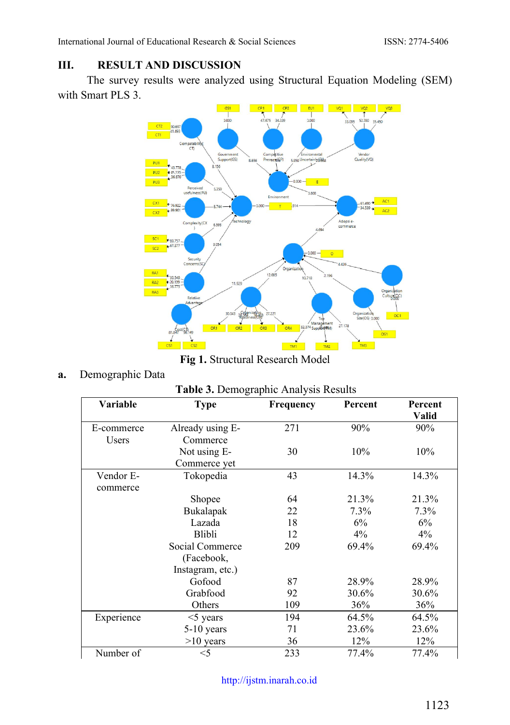## **III. RESULT AND DISCUSSION**

The survey results were analyzed using Structural Equation Modeling (SEM) with Smart PLS 3.



**Fig 1.** Structural Research Model

**a.** Demographic Data

|  | Table 3. Demographic Analysis Results |  |  |
|--|---------------------------------------|--|--|
|--|---------------------------------------|--|--|

| Variable   | <b>Type</b>      | <b>Frequency</b> | Percent | Percent      |
|------------|------------------|------------------|---------|--------------|
|            |                  |                  |         | <b>Valid</b> |
| E-commerce | Already using E- | 271              | 90%     | 90%          |
| Users      | Commerce         |                  |         |              |
|            | Not using E-     | 30               | 10%     | 10%          |
|            | Commerce yet     |                  |         |              |
| Vendor E-  | Tokopedia        | 43               | 14.3%   | 14.3%        |
| commerce   |                  |                  |         |              |
|            | Shopee           | 64               | 21.3%   | 21.3%        |
|            | Bukalapak        | 22               | $7.3\%$ | $7.3\%$      |
|            | Lazada           | 18               | 6%      | 6%           |
|            | Blibli           | 12               | $4\%$   | 4%           |
|            | Social Commerce  | 209              | 69.4%   | 69.4%        |
|            | (Facebook,       |                  |         |              |
|            | Instagram, etc.) |                  |         |              |
|            | Gofood           | 87               | 28.9%   | 28.9%        |
|            | Grabfood         | 92               | 30.6%   | 30.6%        |
|            | Others           | 109              | 36%     | 36%          |
| Experience | $<$ 5 years      | 194              | 64.5%   | 64.5%        |
|            | $5-10$ years     | 71               | 23.6%   | 23.6%        |
|            | $>10$ years      | 36               | 12%     | 12%          |
| Number of  | $<$ 5            | 233              | 77.4%   | 77.4%        |

[http://ijstm.inarah.co.id](http://ijstm.inarah.co.id/index.php/ijstm/about/submissions)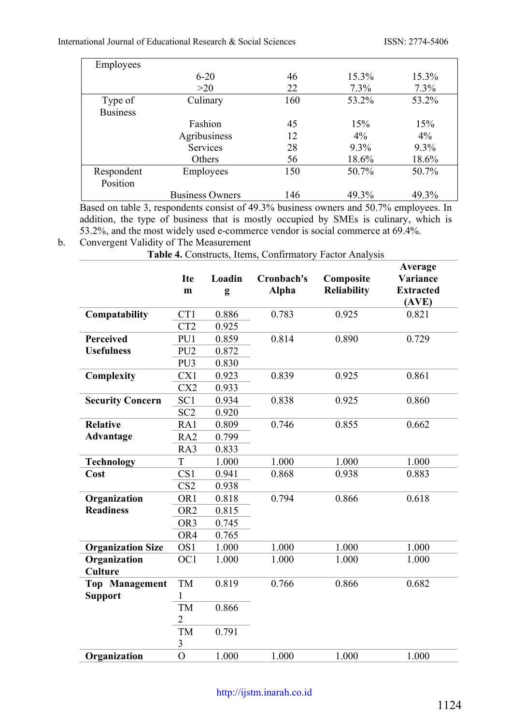International Journal of Educational Research & Social Sciences ISSN: 2774-5406

| Employees       |                        |     |          |         |
|-----------------|------------------------|-----|----------|---------|
|                 | $6 - 20$               | 46  | $15.3\%$ | 15.3%   |
|                 | >20                    | 22  | $7.3\%$  | $7.3\%$ |
| Type of         | Culinary               | 160 | 53.2%    | 53.2%   |
| <b>Business</b> |                        |     |          |         |
|                 | Fashion                | 45  | 15%      | 15%     |
|                 | Agribusiness           | 12  | $4\%$    | $4\%$   |
|                 | <b>Services</b>        | 28  | $9.3\%$  | $9.3\%$ |
|                 | Others                 | 56  | 18.6%    | 18.6%   |
| Respondent      | Employees              | 150 | 50.7%    | 50.7%   |
| Position        |                        |     |          |         |
|                 | <b>Business Owners</b> | 146 | 49.3%    | 49.3%   |

Based on table 3, respondents consist of 49.3% business owners and 50.7% employees. In addition, the type of business that is mostly occupied by SMEs is culinary, which is 53.2%, and the most widely used e-commerce vendor is social commerce at 69.4%.

#### b. Convergent Validity of The Measurement

**Table 4.** Constructs, Items, Confirmatory Factor Analysis

|                          | <b>Ite</b><br>m | Loadin<br>g | Cronbach's<br>Alpha | Composite<br>Reliability | Average<br>Variance<br><b>Extracted</b><br>(AVE) |
|--------------------------|-----------------|-------------|---------------------|--------------------------|--------------------------------------------------|
| Compatability            | CT1             | 0.886       | 0.783               | 0.925                    | 0.821                                            |
|                          | CT <sub>2</sub> | 0.925       |                     |                          |                                                  |
| Perceived                | PU1             | 0.859       | 0.814               | 0.890                    | 0.729                                            |
| <b>Usefulness</b>        | PU <sub>2</sub> | 0.872       |                     |                          |                                                  |
|                          | PU3             | 0.830       |                     |                          |                                                  |
| Complexity               | CX1             | 0.923       | 0.839               | 0.925                    | 0.861                                            |
|                          | CX <sub>2</sub> | 0.933       |                     |                          |                                                  |
| <b>Security Concern</b>  | SC <sub>1</sub> | 0.934       | 0.838               | 0.925                    | 0.860                                            |
|                          | SC <sub>2</sub> | 0.920       |                     |                          |                                                  |
| <b>Relative</b>          | RA1             | 0.809       | 0.746               | 0.855                    | 0.662                                            |
| Advantage                | RA <sub>2</sub> | 0.799       |                     |                          |                                                  |
|                          | RA3             | 0.833       |                     |                          |                                                  |
| <b>Technology</b>        | T               | 1.000       | 1.000               | 1.000                    | 1.000                                            |
| Cost                     | CS <sub>1</sub> | 0.941       | 0.868               | 0.938                    | 0.883                                            |
|                          | CS <sub>2</sub> | 0.938       |                     |                          |                                                  |
| Organization             | OR1             | 0.818       | 0.794               | 0.866                    | 0.618                                            |
| <b>Readiness</b>         | OR <sub>2</sub> | 0.815       |                     |                          |                                                  |
|                          | OR <sub>3</sub> | 0.745       |                     |                          |                                                  |
|                          | OR4             | 0.765       |                     |                          |                                                  |
| <b>Organization Size</b> | OS <sub>1</sub> | 1.000       | 1.000               | 1.000                    | 1.000                                            |
| Organization             | OC <sub>1</sub> | 1.000       | 1.000               | 1.000                    | 1.000                                            |
| Culture                  |                 |             |                     |                          |                                                  |
| <b>Top Management</b>    | TM              | 0.819       | 0.766               | 0.866                    | 0.682                                            |
| <b>Support</b>           | 1               |             |                     |                          |                                                  |
|                          | TM              | 0.866       |                     |                          |                                                  |
|                          | 2               |             |                     |                          |                                                  |
|                          | TM              | 0.791       |                     |                          |                                                  |
|                          | $\mathfrak{Z}$  |             |                     |                          |                                                  |
| Organization             | $\overline{O}$  | 1.000       | 1.000               | 1.000                    | 1.000                                            |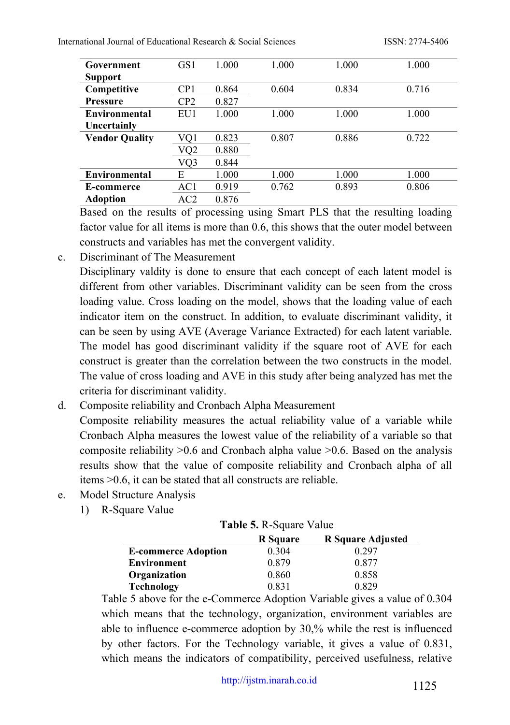International Journal of Educational Research & Social Sciences ISSN: 2774-5406

| Government            | GS1 | 1.000 | 1.000 | 1.000 | 1.000 |
|-----------------------|-----|-------|-------|-------|-------|
| Support               |     |       |       |       |       |
| Competitive           | CP1 | 0.864 | 0.604 | 0.834 | 0.716 |
| <b>Pressure</b>       | CP2 | 0.827 |       |       |       |
| Environmental         | EU1 | 1.000 | 1.000 | 1.000 | 1.000 |
| Uncertainly           |     |       |       |       |       |
| <b>Vendor Quality</b> | VQ1 | 0.823 | 0.807 | 0.886 | 0.722 |
|                       | VQ2 | 0.880 |       |       |       |
|                       | VQ3 | 0.844 |       |       |       |
| Environmental         | E   | 1.000 | 1.000 | 1.000 | 1.000 |
| E-commerce            | AC1 | 0.919 | 0.762 | 0.893 | 0.806 |
| <b>Adoption</b>       | AC2 | 0.876 |       |       |       |

Based on the results of processing using Smart PLS that the resulting loading factor value for all items is more than 0.6, this shows that the outer model between constructs and variables has met the convergent validity.

c. Discriminant of The Measurement

Disciplinary valdity is done to ensure that each concept of each latent model is different from other variables. Discriminant validity can be seen from the cross loading value. Cross loading on the model, shows that the loading value of each indicator item on the construct. In addition, to evaluate discriminant validity, it can be seen by using AVE (Average Variance Extracted) for each latent variable. The model has good discriminant validity if the square root of AVE for each construct is greater than the correlation between the two constructs in the model. The value of cross loading and AVE in this study after being analyzed has met the criteria for discriminant validity.

- d. Composite reliability and Cronbach Alpha Measurement Composite reliability measures the actual reliability value of a variable while Cronbach Alpha measures the lowest value of the reliability of a variable so that composite reliability >0.6 and Cronbach alpha value >0.6. Based on the analysis results show that the value of composite reliability and Cronbach alpha of all items >0.6, it can be stated that all constructs are reliable.
- e. Model Structure Analysis
	- 1) R-Square Value

|  |  |  |  | Table 5. R-Square Value |
|--|--|--|--|-------------------------|
|--|--|--|--|-------------------------|

|                            | R Square | R Square Adjusted |
|----------------------------|----------|-------------------|
| <b>E-commerce Adoption</b> | 0.304    | 0.297             |
| <b>Environment</b>         | 0.879    | 0.877             |
| Organization               | 0.860    | 0.858             |
| <b>Technology</b>          | 0.831    | 0.829             |

Table 5 above for the e-Commerce Adoption Variable gives a value of 0.304 which means that the technology, organization, environment variables are able to influence e-commerce adoption by 30,% while the rest is influenced by other factors. For the Technology variable, it gives a value of 0.831, which means the indicators of compatibility, perceived usefulness, relative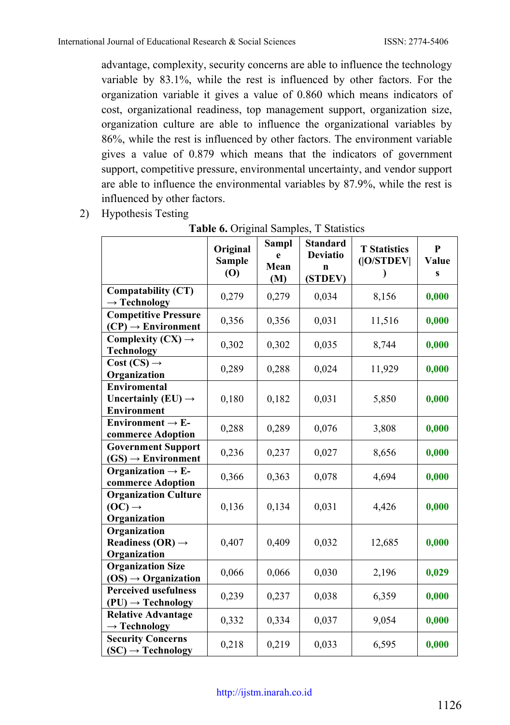advantage, complexity, security concerns are able to influence the technology variable by 83.1%, while the rest is influenced by other factors. For the organization variable it gives a value of 0.860 which means indicators of cost, organizational readiness, top management support, organization size, organization culture are able to influence the organizational variables by 86%, while the rest is influenced by other factors. The environment variable gives a value of 0.879 which means that the indicators of government support, competitive pressure, environmental uncertainty, and vendor support are able to influence the environmental variables by 87.9%, while the rest is influenced by other factors.

2) Hypothesis Testing

|                                                                   | Original<br><b>Sample</b><br>(0) | <b>Sampl</b><br>è<br>Mean<br>(M) | <b>Standard</b><br><b>Deviatio</b><br>n<br>(STDEV) | <b>T</b> Statistics<br>( O/STDEV <br>$\lambda$ | $\mathbf{P}$<br>Value<br>$\mathbf{s}$ |
|-------------------------------------------------------------------|----------------------------------|----------------------------------|----------------------------------------------------|------------------------------------------------|---------------------------------------|
| Compatability (CT)<br>$\rightarrow$ Technology                    | 0,279                            | 0,279                            | 0,034                                              | 8,156                                          | 0,000                                 |
| <b>Competitive Pressure</b><br>$(CP) \rightarrow Environment$     | 0,356                            | 0,356                            | 0,031                                              | 11,516                                         | 0,000                                 |
| Complexity $(CX) \rightarrow$<br><b>Technology</b>                | 0,302                            | 0,302                            | 0,035                                              | 8,744                                          | 0,000                                 |
| $Cost (CS) \rightarrow$<br>Organization                           | 0,289                            | 0,288                            | 0,024                                              | 11,929                                         | 0,000                                 |
| Enviromental<br>Uncertainly (EU) $\rightarrow$<br>Environment     | 0,180                            | 0,182                            | 0,031                                              | 5,850                                          | 0,000                                 |
| Environment $\rightarrow$ E-<br>commerce Adoption                 | 0,288                            | 0,289                            | 0,076                                              | 3,808                                          | 0,000                                 |
| <b>Government Support</b><br>$(GS) \rightarrow Environment$       | 0,236                            | 0,237                            | 0,027                                              | 8,656                                          | 0,000                                 |
| Organization $\rightarrow$ E-<br>commerce Adoption                | 0,366                            | 0,363                            | 0,078                                              | 4,694                                          | 0,000                                 |
| <b>Organization Culture</b><br>$(OC) \rightarrow$<br>Organization | 0,136                            | 0,134                            | 0,031                                              | 4,426                                          | 0,000                                 |
| Organization<br>Readiness $(OR) \rightarrow$<br>Organization      | 0,407                            | 0,409                            | 0,032                                              | 12,685                                         | 0,000                                 |
| <b>Organization Size</b><br>$OS) \rightarrow Organization$        | 0,066                            | 0,066                            | 0,030                                              | 2,196                                          | 0,029                                 |
| <b>Perceived usefulness</b><br>$(PU) \rightarrow Technology$      | 0,239                            | 0,237                            | 0,038                                              | 6,359                                          | 0,000                                 |
| <b>Relative Advantage</b><br>$\rightarrow$ Technology             | 0,332                            | 0,334                            | 0,037                                              | 9,054                                          | 0,000                                 |
| <b>Security Concerns</b><br>$(SC) \rightarrow Technology$         | 0,218                            | 0,219                            | 0,033                                              | 6,595                                          | 0,000                                 |

**Table 6.** Original Samples, T Statistics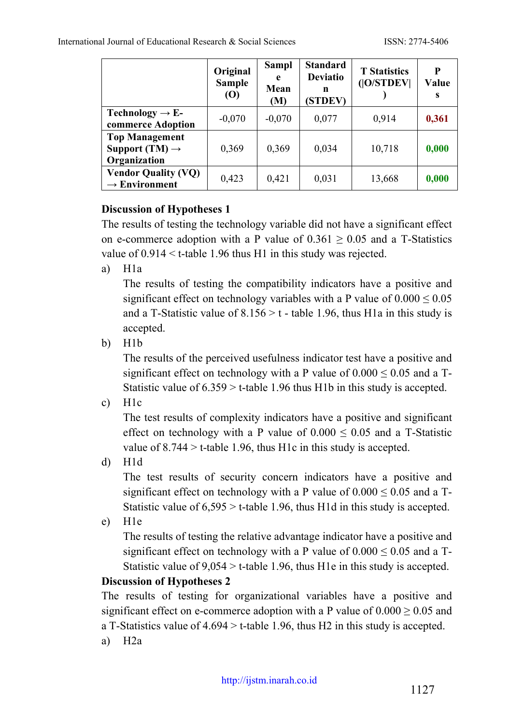|                                                                     | Original<br><b>Sample</b><br>$\boldsymbol{\left( \text{O} \right)}$ | Sampl<br>e<br>Mean<br>(M) | <b>Standard</b><br><b>Deviatio</b><br>n<br>(STDEV) | <b>T</b> Statistics<br>( O/STDEV | P<br>Value<br>S |
|---------------------------------------------------------------------|---------------------------------------------------------------------|---------------------------|----------------------------------------------------|----------------------------------|-----------------|
| Technology $\rightarrow$ E-<br>commerce Adoption                    | $-0.070$                                                            | $-0,070$                  | 0,077                                              | 0,914                            | 0,361           |
| <b>Top Management</b><br>Support (TM) $\rightarrow$<br>Organization | 0,369                                                               | 0,369                     | 0,034                                              | 10,718                           | 0,000           |
| <b>Vendor Quality (VQ)</b><br>$\rightarrow$ Environment             | 0,423                                                               | 0,421                     | 0,031                                              | 13,668                           | 0,000           |

## **Discussion of Hypotheses 1**

The results of testing the technology variable did not have a significant effect on e-commerce adoption with a P value of  $0.361 \ge 0.05$  and a T-Statistics value of 0.914 < t-table 1.96 thus H1 in this study was rejected.

a) H1a

The results of testing the compatibility indicators have a positive and significant effect on technology variables with a P value of  $0.000 \le 0.05$ and a T-Statistic value of  $8.156 > t$  - table 1.96, thus H1a in this study is accepted.

b) H1b

The results of the perceived usefulness indicator test have a positive and significant effect on technology with a P value of  $0.000 \le 0.05$  and a T-Statistic value of 6.359 > t-table 1.96 thus H1b in this study is accepted.

c) H1c

The test results of complexity indicators have a positive and significant effect on technology with a P value of  $0.000 \le 0.05$  and a T-Statistic value of  $8.744 > t$ -table 1.96, thus H1c in this study is accepted.

d) H1d

The test results of security concern indicators have a positive and significant effect on technology with a P value of  $0.000 \le 0.05$  and a T-Statistic value of  $6,595 > t$ -table 1.96, thus H1d in this study is accepted.

e) H1e

The results of testing the relative advantage indicator have a positive and significant effect on technology with a P value of  $0.000 \le 0.05$  and a T-Statistic value of  $9.054 > t$ -table 1.96, thus H1e in this study is accepted.

## **Discussion of Hypotheses 2**

The results of testing for organizational variables have a positive and significant effect on e-commerce adoption with a P value of  $0.000 \ge 0.05$  and a T-Statistics value of 4.694 > t-table 1.96, thus H2 in this study is accepted.

a) H2a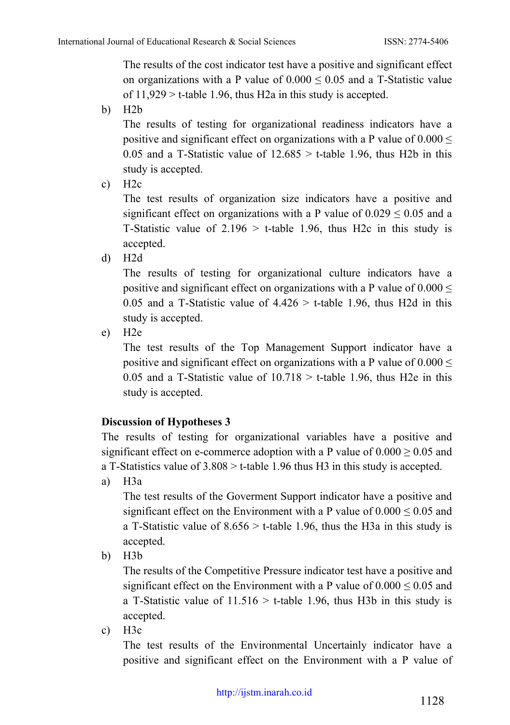The results of the cost indicator test have a positive and significant effect on organizations with a P value of  $0.000 \le 0.05$  and a T-Statistic value of  $11,929$  > t-table 1.96, thus H2a in this study is accepted.

b) H2b

The results of testing for organizational readiness indicators have a positive and significant effect on organizations with a P value of  $0.000 \le$ 0.05 and a T-Statistic value of  $12.685 > t$ -table 1.96, thus H2b in this study is accepted.

c)  $H2c$ 

The test results of organization size indicators have a positive and significant effect on organizations with a P value of  $0.029 \le 0.05$  and a T-Statistic value of  $2.196 > t$ -table 1.96, thus H2c in this study is accepted.

d) H2d

The results of testing for organizational culture indicators have a positive and significant effect on organizations with a P value of  $0.000 \le$ 0.05 and a T-Statistic value of  $4.426 > t$ -table 1.96, thus H2d in this study is accepted.

e) H2e

The test results of the Top Management Support indicator have a positive and significant effect on organizations with a P value of  $0.000 \le$ 0.05 and a T-Statistic value of  $10.718 > t$ -table 1.96, thus H2e in this study is accepted.

## **Discussion of Hypotheses 3**

The results of testing for organizational variables have a positive and significant effect on e-commerce adoption with a P value of  $0.000 \ge 0.05$  and a T-Statistics value of 3.808 > t-table 1.96 thus H3 in this study is accepted.

a) H3a

The test results of the Goverment Support indicator have a positive and significant effect on the Environment with a P value of  $0.000 \le 0.05$  and a T-Statistic value of  $8.656 > t$ -table 1.96, thus the H3a in this study is accepted.

b) H3b

The results of the Competitive Pressure indicator test have a positive and significant effect on the Environment with a P value of  $0.000 \le 0.05$  and a T-Statistic value of  $11.516 > t$ -table 1.96, thus H3b in this study is accepted.

c)  $H3c$ 

The test results of the Environmental Uncertainly indicator have a positive and significant effect on the Environment with a P value of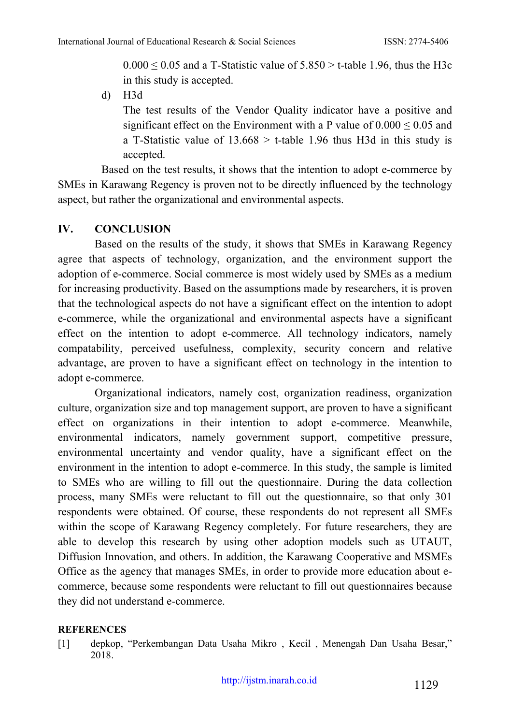$0.000 \le 0.05$  and a T-Statistic value of  $5.850 > t$ -table 1.96, thus the H3c in this study is accepted.

d) H3d

The test results of the Vendor Quality indicator have a positive and significant effect on the Environment with a P value of  $0.000 \le 0.05$  and a T-Statistic value of  $13.668$  > t-table 1.96 thus H3d in this study is accepted.

Based on the test results, it shows that the intention to adopt e-commerce by SMEs in Karawang Regency is proven not to be directly influenced by the technology aspect, but rather the organizational and environmental aspects.

### **IV. CONCLUSION**

Based on the results of the study, it shows that SMEs in Karawang Regency agree that aspects of technology, organization, and the environment support the adoption of e-commerce. Social commerce is most widely used by SMEs as a medium for increasing productivity. Based on the assumptions made by researchers, it is proven that the technological aspects do not have a significant effect on the intention to adopt e-commerce, while the organizational and environmental aspects have a significant effect on the intention to adopt e-commerce. All technology indicators, namely compatability, perceived usefulness, complexity, security concern and relative advantage, are proven to have a significant effect on technology in the intention to adopt e-commerce.

Organizational indicators, namely cost, organization readiness, organization culture, organization size and top management support, are proven to have a significant effect on organizations in their intention to adopt e-commerce. Meanwhile, environmental indicators, namely government support, competitive pressure, environmental uncertainty and vendor quality, have a significant effect on the environment in the intention to adopt e-commerce. In this study, the sample is limited to SMEs who are willing to fill out the questionnaire. During the data collection process, many SMEs were reluctant to fill out the questionnaire, so that only 301 respondents were obtained. Of course, these respondents do not represent all SMEs within the scope of Karawang Regency completely. For future researchers, they are able to develop this research by using other adoption models such as UTAUT, Diffusion Innovation, and others. In addition, the Karawang Cooperative and MSMEs Office as the agency that manages SMEs, in order to provide more education about ecommerce, because some respondents were reluctant to fill out questionnaires because they did not understand e-commerce.

#### **REFERENCES**

[1] depkop, "Perkembangan Data Usaha Mikro , Kecil , Menengah Dan Usaha Besar," 2018.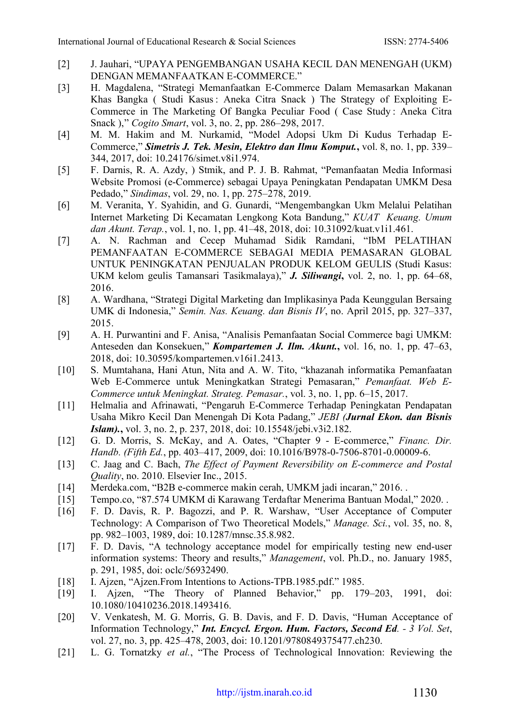- [2] J. Jauhari, "UPAYA PENGEMBANGAN USAHA KECIL DAN MENENGAH (UKM) DENGAN MEMANFAATKAN E-COMMERCE."
- [3] H. Magdalena, "Strategi Memanfaatkan E-Commerce Dalam Memasarkan Makanan Khas Bangka ( Studi Kasus : Aneka Citra Snack ) The Strategy of Exploiting E-Commerce in The Marketing Of Bangka Peculiar Food ( Case Study : Aneka Citra Snack )," *Cogito Smart*, vol. 3, no. 2, pp. 286–298, 2017.
- [4] M. M. Hakim and M. Nurkamid, "Model Adopsi Ukm Di Kudus Terhadap E-Commerce," *Simetris J. Tek. Mesin, Elektro dan Ilmu Komput.***,** vol. 8, no. 1, pp. 339– 344, 2017, doi: 10.24176/simet.v8i1.974.
- [5] F. Darnis, R. A. Azdy, ) Stmik, and P. J. B. Rahmat, "Pemanfaatan Media Informasi Website Promosi (e-Commerce) sebagai Upaya Peningkatan Pendapatan UMKM Desa Pedado," *Sindimas*, vol. 29, no. 1, pp. 275–278, 2019.
- [6] M. Veranita, Y. Syahidin, and G. Gunardi, "Mengembangkan Ukm Melalui Pelatihan Internet Marketing Di Kecamatan Lengkong Kota Bandung," *KUAT Keuang. Umum dan Akunt. Terap.*, vol. 1, no. 1, pp. 41–48, 2018, doi: 10.31092/kuat.v1i1.461.
- [7] A. N. Rachman and Cecep Muhamad Sidik Ramdani, "IbM PELATIHAN PEMANFAATAN E-COMMERCE SEBAGAI MEDIA PEMASARAN GLOBAL UNTUK PENINGKATAN PENJUALAN PRODUK KELOM GEULIS (Studi Kasus: UKM kelom geulis Tamansari Tasikmalaya)," *J. Siliwangi***,** vol. 2, no. 1, pp. 64–68, 2016.
- [8] A. Wardhana, "Strategi Digital Marketing dan Implikasinya Pada Keunggulan Bersaing UMK di Indonesia," *Semin. Nas. Keuang. dan Bisnis IV*, no. April 2015, pp. 327–337, 2015.
- [9] A. H. Purwantini and F. Anisa, "Analisis Pemanfaatan Social Commerce bagi UMKM: Anteseden dan Konsekuen," *Kompartemen J. Ilm. Akunt.***,** vol. 16, no. 1, pp. 47–63, 2018, doi: 10.30595/kompartemen.v16i1.2413.
- [10] S. Mumtahana, Hani Atun, Nita and A. W. Tito, "khazanah informatika Pemanfaatan Web E-Commerce untuk Meningkatkan Strategi Pemasaran," *Pemanfaat. Web E-Commerce untuk Meningkat. Strateg. Pemasar.*, vol. 3, no. 1, pp. 6–15, 2017.
- [11] Helmalia and Afrinawati, "Pengaruh E-Commerce Terhadap Peningkatan Pendapatan Usaha Mikro Kecil Dan Menengah Di Kota Padang," *JEBI (Jurnal Ekon. dan Bisnis Islam).***,** vol. 3, no. 2, p. 237, 2018, doi: 10.15548/jebi.v3i2.182.
- [12] G. D. Morris, S. McKay, and A. Oates, "Chapter 9 E-commerce," *Financ. Dir. Handb. (Fifth Ed.*, pp. 403–417, 2009, doi: 10.1016/B978-0-7506-8701-0.00009-6.
- [13] C. Jaag and C. Bach, *The Effect of Payment Reversibility on E-commerce and Postal Quality*, no. 2010. Elsevier Inc., 2015.
- [14] Merdeka.com, "B2B e-commerce makin cerah, UMKM jadi incaran," 2016. .
- [15] Tempo.co, "87.574 UMKM di Karawang Terdaftar Menerima Bantuan Modal," 2020. .
- [16] F. D. Davis, R. P. Bagozzi, and P. R. Warshaw, "User Acceptance of Computer Technology: A Comparison of Two Theoretical Models," *Manage. Sci.*, vol. 35, no. 8, pp. 982–1003, 1989, doi: 10.1287/mnsc.35.8.982.
- [17] F. D. Davis, "A technology acceptance model for empirically testing new end-user information systems: Theory and results," *Management*, vol. Ph.D., no. January 1985, p. 291, 1985, doi: oclc/56932490.
- [18] I. Ajzen, "Ajzen.From Intentions to Actions-TPB.1985.pdf." 1985.
- [19] I. Ajzen, "The Theory of Planned Behavior," pp. 179–203, 1991, doi: 10.1080/10410236.2018.1493416.
- [20] V. Venkatesh, M. G. Morris, G. B. Davis, and F. D. Davis, "Human Acceptance of Information Technology," *Int. Encycl. Ergon. Hum. Factors, Second Ed. - 3 Vol. Set*, vol. 27, no. 3, pp. 425–478, 2003, doi: 10.1201/9780849375477.ch230.
- [21] L. G. Tornatzky *et al.*, "The Process of Technological Innovation: Reviewing the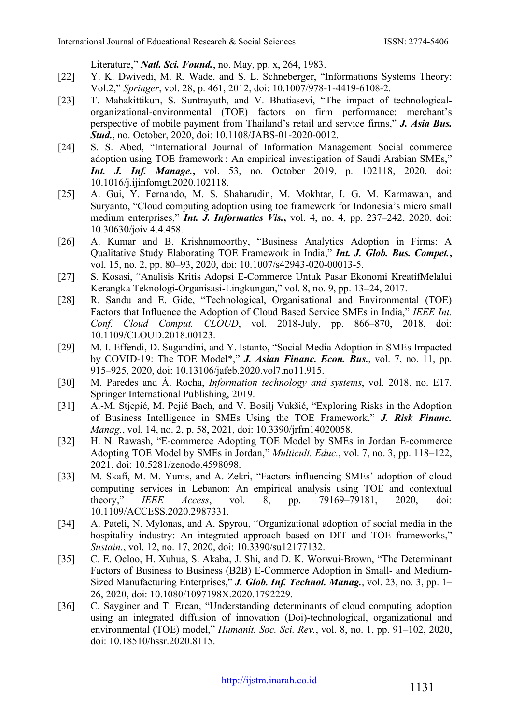Literature," *Natl. Sci. Found.*, no. May, pp. x, 264, 1983.

- [22] Y. K. Dwivedi, M. R. Wade, and S. L. Schneberger, "Informations Systems Theory: Vol.2," *Springer*, vol. 28, p. 461, 2012, doi: 10.1007/978-1-4419-6108-2.
- [23] T. Mahakittikun, S. Suntrayuth, and V. Bhatiasevi, "The impact of technologicalorganizational-environmental (TOE) factors on firm performance: merchant's perspective of mobile payment from Thailand's retail and service firms," *J. Asia Bus. Stud.*, no. October, 2020, doi: 10.1108/JABS-01-2020-0012.
- [24] S. S. Abed, "International Journal of Information Management Social commerce adoption using TOE framework : An empirical investigation of Saudi Arabian SMEs," *Int. J. Inf. Manage.***,** vol. 53, no. October 2019, p. 102118, 2020, doi: 10.1016/j.ijinfomgt.2020.102118.
- [25] A. Gui, Y. Fernando, M. S. Shaharudin, M. Mokhtar, I. G. M. Karmawan, and Suryanto, "Cloud computing adoption using toe framework for Indonesia's micro small medium enterprises," *Int. J. Informatics Vis.***,** vol. 4, no. 4, pp. 237–242, 2020, doi: 10.30630/joiv.4.4.458.
- [26] A. Kumar and B. Krishnamoorthy, "Business Analytics Adoption in Firms: A Qualitative Study Elaborating TOE Framework in India," *Int. J. Glob. Bus. Compet.***,** vol. 15, no. 2, pp. 80–93, 2020, doi: 10.1007/s42943-020-00013-5.
- [27] S. Kosasi, "Analisis Kritis Adopsi E-Commerce Untuk Pasar Ekonomi KreatifMelalui Kerangka Teknologi-Organisasi-Lingkungan," vol. 8, no. 9, pp. 13–24, 2017.
- [28] R. Sandu and E. Gide, "Technological, Organisational and Environmental (TOE) Factors that Influence the Adoption of Cloud Based Service SMEs in India," *IEEE Int. Conf. Cloud Comput. CLOUD*, vol. 2018-July, pp. 866–870, 2018, doi: 10.1109/CLOUD.2018.00123.
- [29] M. I. Effendi, D. Sugandini, and Y. Istanto, "Social Media Adoption in SMEs Impacted by COVID-19: The TOE Model\*," *J. Asian Financ. Econ. Bus.*, vol. 7, no. 11, pp. 915–925, 2020, doi: 10.13106/jafeb.2020.vol7.no11.915.
- [30] M. Paredes and Á. Rocha, *Information technology and systems*, vol. 2018, no. E17. Springer International Publishing, 2019.
- [31] A.-M. Stjepić, M. Pejić Bach, and V. Bosilj Vukšić, "Exploring Risks in the Adoption of Business Intelligence in SMEs Using the TOE Framework," *J. Risk Financ. Manag.*, vol. 14, no. 2, p. 58, 2021, doi: 10.3390/jrfm14020058.
- [32] H. N. Rawash, "E-commerce Adopting TOE Model by SMEs in Jordan E-commerce Adopting TOE Model by SMEs in Jordan," *Multicult. Educ.*, vol. 7, no. 3, pp. 118–122, 2021, doi: 10.5281/zenodo.4598098.
- [33] M. Skafi, M. M. Yunis, and A. Zekri, "Factors influencing SMEs' adoption of cloud computing services in Lebanon: An empirical analysis using TOE and contextual theory," *IEEE Access*, vol. 8, pp. 79169–79181, 2020, doi: 10.1109/ACCESS.2020.2987331.
- [34] A. Pateli, N. Mylonas, and A. Spyrou, "Organizational adoption of social media in the hospitality industry: An integrated approach based on DIT and TOE frameworks," *Sustain.*, vol. 12, no. 17, 2020, doi: 10.3390/su12177132.
- [35] C. E. Ocloo, H. Xuhua, S. Akaba, J. Shi, and D. K. Worwui-Brown, "The Determinant Factors of Business to Business (B2B) E-Commerce Adoption in Small- and Medium-Sized Manufacturing Enterprises," *J. Glob. Inf. Technol. Manag.*, vol. 23, no. 3, pp. 1– 26, 2020, doi: 10.1080/1097198X.2020.1792229.
- [36] C. Sayginer and T. Ercan, "Understanding determinants of cloud computing adoption using an integrated diffusion of innovation (Doi)-technological, organizational and environmental (TOE) model," *Humanit. Soc. Sci. Rev.*, vol. 8, no. 1, pp. 91–102, 2020, doi: 10.18510/hssr.2020.8115.